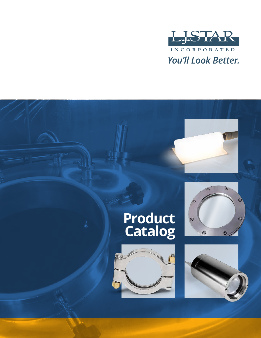

# **Product Catalog**





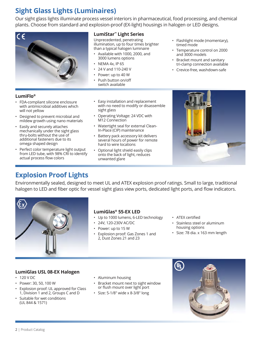# **Sight Glass Lights (Luminaires)**

Our sight glass lights illuminate process vessel interiors in pharmaceutical, food processing, and chemical plants. Choose from standard and explosion-proof (EX-light) housings in halogen or LED designs.



#### **LumiStar™ Light Series**

Unprecedented, penetrating illumination, up to four times brighter than a typical halogen luminaire

- Available with 1000, 2000, and 3000 lumens options
- NEMA 4x, IP 65
- 24 V and 110-240 V
- Power: up to 40 W
- Push button on/off switch available
- Flashlight mode (momentary), timed mode
- Temperature control on 2000 and 3000 models
- Bracket mount and sanitary tri-clamp connection available
- Crevice-free, washdown-safe

#### **LumiFlo®**

- FDA-compliant silicone enclosure with antimicrobial additives which will not yellow
- Designed to prevent microbial and mildew growth using nano materials
- Easily and securely attaches mechanically under the sight glass thru-bolts without the use of additional fasteners due to its omega shaped design
- Perfect color temperature light output from LED tube, with 98% CRI to identify actual process flow colors
- Easy installation and replacement with no need to modify or disassemble sight glass
- Operating Voltage: 24 VDC with M12 Connection
- Watertight seal for external Clean-In-Place (CIP) maintenance
- Battery pack accessory kit delivers several hours of power for remote hard to wire locations
- Optional light shield easily clips onto the back of light, reduces unwanted glare



### **Explosion Proof Lights**

Environmentally sealed, designed to meet UL and ATEX explosion proof ratings. Small to large, traditional halogen to LED and fiber optic for vessel sight glass view ports, dedicated light ports, and flow indicators.



#### **LumiGlas® 55-EX LED**

- Up to 1000 lumens, 6-LED technology
- 24V, 120-230V AC/DC
- Power: up to 15 W
- Explosion proof: Gas Zones 1 and 2, Dust Zones 21 and 23
- • ATEX certified
- Stainless steel or aluminum housing options
- Size: 78 dia. x 163 mm length

#### **LumiGlas USL 08-EX Halogen**

- 120 V DC
- Power: 30, 50, 100 W
- Explosion proof: UL approved for Class 1, Division 1 and 2, Groups C and D
- Suitable for wet conditions (UL 844 & 1571)
- Aluminum housing
- Bracket mount next to sight window or flush mount over light port
- Size: 5-1/8" wide x 8-3/8" long

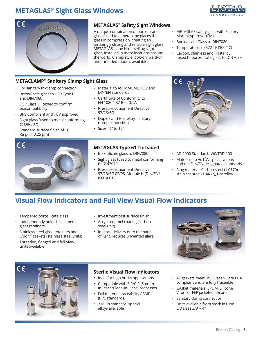# **METAGLAS® Sight Glass Windows**





#### **METACLAMP® Sanitary Clamp Sight Glass**

- For sanitary tri-clamp connection
- Borosilicate glass to USP Type I and DIN7080
- • USP Class VI (tested to confirm biocompatibility)
- BPE Compliant and TÜV approved
- Sight glass fused to metal conforming to DIN7079
- Standard surface finish of 10 Ra µ-in (0.25 µm)



#### **METAGLAS® Safety Sight Windows**

A unique combination of borosilicate glass fused to a metal ring places the glass in compression, creating an amazingly strong and reliable sight glass. METAGLAS is the No. 1 selling sight glass, installed in more locations around the world. Clamp-style, bolt-on, weld-on, and threaded models available.

- METAGLAS safety glass with Factory Mutual Approval (FM)
- Borosilicate Glass to DIN7080
- Temperature: to 572° F (300° C)
- Carbon, stainless and Hastelloy fused to borosilicate glass to DIN7079
- Material to ASTM/ASME, TÜV and DIN/EN standards
- Certificate of Conformity to EN 10204-3.1B or 3.1A
- Pressure Equipment Directive 97/23/EG
- Duplex and Hastelloy, sanitary clamp connection
- Sizes: ½" to 12"

#### **METAGLAS Type 61 Threaded**

- Borosilicate glass to DIN7080
- Sight glass fused to metal conforming to DIN7079
- Pressure Equipment Directive 97/23/EG 02/98, Module H (DIN/EN/ ISO 9001)



- AD 2000 Standards W0/TRD 100
- • Materials to VdTÜV specifications and the DIN/EN designated standards
- Ring material: Carbon steel (1.0570), stainless steel (1.4462), Hastelloy

### **Visual Flow Indicators and Full View Visual Flow Indicators**

- Tempered borosilicate glass
- Independently bolted, cast metal glass retainers
- Stainless steel glass retainers and Gylon® gaskets (stainless steel units)
- • Threaded, flanged and full-view units available
- • Investment cast surface finish
- Acrylic enamel coating (carbon steel unit)
- In-stock delivery onto the back of light, reduces unwanted glare





#### **Sterile Visual Flow Indicators**

- Ideal for high purity applications
- Compatible with SIP/CIP (Sterilize-In-Place/Clean-In-Place) processes
- Full material traceability ASME (BPE standards)
- 316L is standard, special alloys available
- All gaskets meet USP Class VI, are FDA compliant and are fully traceable
- Gasket materials: EPDM, Silicone, Viton, or FEP jacketed silicone
- Sanitary clamp connection
- Units available from stock in tube OD sizes 3/8"– 4"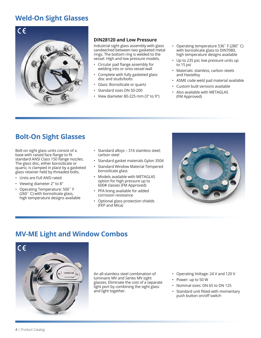### **Weld-On Sight Glasses**



#### **DIN28120 and Low Pressure**

Industrial sight glass assembly with glass sandwiched between two gasketed metal rings. The bottom ring is welded to the vessel. High and low pressure models.

- • Circular pad flange assembly for welding into or onto vessel wall
- Complete with fully gasketed glass disc and studs/bolts
- Glass: Borosilicate or quartz
- Standard sizes DN 50-200
- View diameter 80-225 mm (3" to 9")
- Operating temperature 536° F (280° C) with borosilicate glass to DIN7080, high temperature designs available
- Up to 235 psi; low pressure units up to 15 psi
- Materials: stainless, carbon steels and Hastelloy
- ASME code weld pad material available
- Custom built versions available
- Also available with METAGLAS (FM Approved)

### **Bolt-On Sight Glasses**

Bolt-on sight glass units consist of a base with raised face flange to fit standard ANSI Class 150 flange nozzles. The glass disc, either borosilicate or quartz, is clamped in place by a gasketed glass retainer held by threaded bolts.

- Units are Full ANSI rated
- Viewing diameter 2" to 8"
- • Operating Temperature: 500˚ F (260˚ C) with borosilicate glass, high temperature designs available
- Standard alloys 316 stainless steel; carbon steel
- Standard gasket materials Gylon 3504
- Standard Window Material Tempered borosilicate glass
- Models available with METAGLAS option for high pressure up to 600# classes (FM Approved)
- PFA lining available for added corrosion resistance
- Optional glass protection shields (FEP and Mica)



### **MV-ME Light and Window Combos**



An all-stainless steel combination of luminaire MV and Series MV sight glasses. Eliminate the cost of a separate light port by combining the sight glass and light together.

- Operating Voltage: 24 V and 120 V
- Power: up to 50 W
- Nominal sizes: DN 65 to DN 125
- • Standard unit fitted with momentary push button on/off switch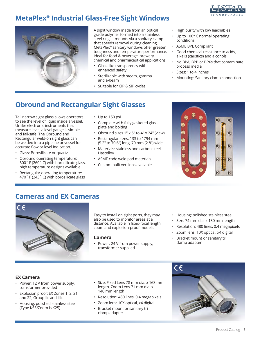

### **MetaPlex® Industrial Glass-Free Sight Windows**



A sight window made from an optical grade polymer formed into a stainless steel ring. It mounts via a sanitary clamp that speeds removal during cleaning. MetaPlex® sanitary windows offer greater toughness and temperature performance. Ideal for food & beverage, brewery, chemical and pharmaceutical applications.

- Glass-like transparency with enhanced safety
- Sterilizable with steam, gamma and e-beam
- Suitable for CIP & SIP cycles
- High purity with low leachables
- Up to 100° C normal operating conditions
- ASME BPE Compliant
- Good chemical resistance to acids, alkalis (caustics) and alcohols
- No BPA, BPB or BPXs that contaminate process media
- Sizes: 1 to 4 inches
- Mounting: Sanitary clamp connection

# **Obround and Rectangular Sight Glasses**

Tall narrow sight glass allows operators to see the level of liquid inside a vessel. Unlike electronic instruments that measure level, a level gauge is simple and fail-safe. The Obround and Rectangular weld-on sight glass can be welded into a pipeline or vessel for accurate flow or level indication.

- Glass: Borosilicate or quartz
- Obround operating temperature: 500˚ F (260˚ C) with borosilicate glass, high temperature designs available
- Rectangular operating temperature: 470˚ F (243˚ C) with borosilicate glass
- Up to 150 psi
- Complete with fully gasketed glass plate and bolting
- Obround sizes 1" x 6" to 4" x 24" (view)
- Rectangular sizes: 133 to 1794 mm (5.2" to 70.6") long, 70 mm (2.8") wide
- Materials: stainless and carbon steel, Hastelloy
- ASME code weld pad materials
- Custom built versions available



### **Cameras and EX Cameras**



Easy to install on sight ports, they may also be used to monitor areas at a distance. Available in fixed-focal length, zoom and explosion-proof models.

#### **Camera**

- Power: 24 V from power supply, transformer supplied
- Housing: polished stainless steel
- Size: 74 mm dia. x 130 mm length
- Resolution: 480 lines, 0.4 megapixels
- Zoom lens: 10X optical, x4 digital
- Bracket mount or sanitary tri clamp adapter

#### **EX Camera**

- Power: 12 V from power supply, transformer provided
- Explosion proof: EX Zones 1, 2, 21 and 22, Group IIc and IIIc
- Housing: polished stainless steel (Type K55/Zoom is K25)
- Size: Fixed Lens 78 mm dia. x 163 mm length, Zoom Lens 71 mm dia. x 140 mm length
- Resolution: 480 lines, 0.4 megapixels
- Zoom lens: 10X optical, x4 digital
- Bracket mount or sanitary tri clamp adapter

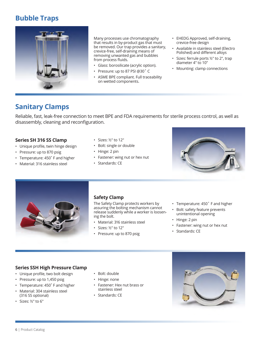### **Bubble Traps**



Many processes use chromatography that results in by-product gas that must be removed. Our trap provides a sanitary, crevice-free, self-draining means of removing unwanted gas and bubbles from process fluids.

- Glass: borosilicate (acrylic option).
- • Pressure: up to 87 PSI @30˚ C
- ASME BPE compliant. Full traceability on wetted components.
- EHEDG Approved, self-draining, crevice-free design
- Available in stainless steel (Electro Polished) and different alloys
- Sizes: ferrule ports ½" to 2", trap diameter 4" to 10"
- Mounting: clamp connections

### **Sanitary Clamps**

Reliable, fast, leak-free connection to meet BPE and FDA requirements for sterile process control, as well as disassembly, cleaning and reconfiguration.

#### **Series SH 316 SS Clamp**

- Unique profile, twin hinge design
- Pressure: up to 870 psig
- Temperature: 450°F and higher
- Material: 316 stainless steel
- Sizes: ½" to 12"
- Bolt: single or double
- Hinge: 2 pin
- Fastener: wing nut or hex nut
- Standards: CE





#### **Safety Clamp**

The Safety Clamp protects workers by assuring the bolting mechanism cannot release suddenly while a worker is loosening the bolt.

- Material: 316 stainless steel
- Sizes: ½" to 12"
- Pressure: up to 870 psig
- Temperature: 450° F and higher
- Bolt: safety feature prevents unintentional opening
- Hinge: 2 pin
- Fastener: wing nut or hex nut
- Standards: CE

#### **Series SSH High Pressure Clamp**

- • Unique profile, two bolt design
- Pressure: up to 1,450 psig
- Temperature: 450° F and higher
- Material: 304 stainless steel (316 SS optional)
- Sizes: ½" to 6"
- Bolt: double
- Hinge: none
- Fastener: Hex nut brass or stainless steel
- Standards: CE

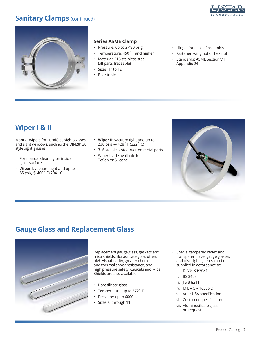### **Sanitary Clamps** (continued)





#### **Series ASME Clamp**

- Pressure: up to 2,480 psig
- Temperature: 450° F and higher
- Material: 316 stainless steel (all parts traceable)
- Sizes: 1" to 12"
- Bolt: triple
- Hinge: for ease of assembly
- Fastener: wing nut or hex nut
- Standards: ASME Section VIII Appendix 24

### **Wiper I & II**

Manual wipers for LumiGlas sight glasses and sight windows, such as the DIN28120 style sight glasses.

- For manual cleaning on inside glass surface
- **Wiper I**: vacuum tight and up to 85 psig @ 400˚ F (204˚ C)
- **Wiper II**: vacuum tight and up to 230 psig @ 428˚ F (222˚ C)
- 316 stainless steel wetted metal parts
- Wiper blade available in Teflon or Silicone



### **Gauge Glass and Replacement Glass**



Replacement gauge glass, gaskets and mica shields. Borosilicate glass offers high visual clarity, greater chemical and thermal shock resistance, and high pressure safety. Gaskets and Mica Shields are also available.

- Borosilicate glass
- • Temperature: up to 572˚ F
- Pressure: up to 6000 psi
- Sizes: 0 through 11
- Special tempered reflex and transparent level gauge glasses and disc sight glasses can be supplied in accordance to:
	- i. DIN7080/7081
	- ii. BS 3463
	- iii. JIS B 8211
	- iv. MIL G 16356 D
	- v. Auer USA specification
	- vi. Customer specification
	- vii. Aluminosilicate glass on request